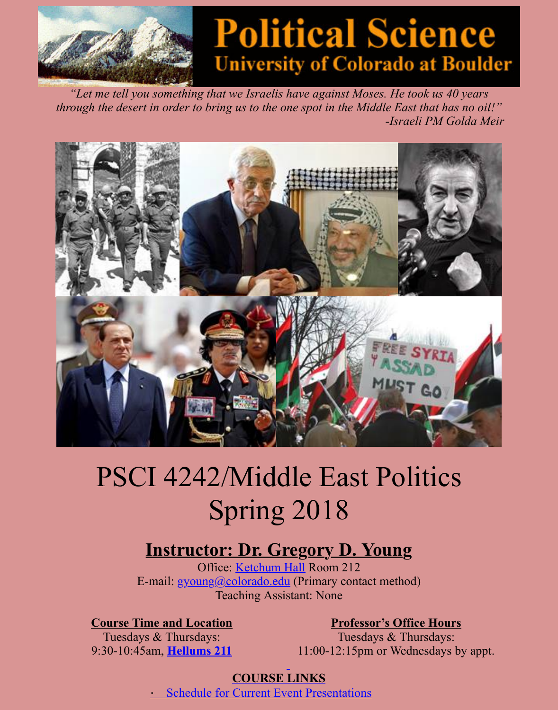*"Let me tell you something that we Israelis have against Moses. He took us 40 years through the desert in order to bring us to the one spot in the Middle East that has no -Israeli PM Golda* 



# PSCI 4242/Middle East Politics Spring 2018

# **Instructor: Dr. Gregory D. Young**

Office: Ketchum Hall Room 212 E-mail: gyoung@colorado.edu (Primary contact method) Teaching Assistant: None

**Course Time and Location Professor's Office Hours** 

Tuesdays & Thursdays: 9:30-10:45am, **Hellums 211**

Tuesdays & Thursdays: [11](http://www.colorado.edu/directories/webmap):00-12:15pm or Wednesdays by  $\epsilon$ 

#### **[COURSE L](mailto:gyoung@colorado.edu)INKS**

**Schedule for Current Event Presentations**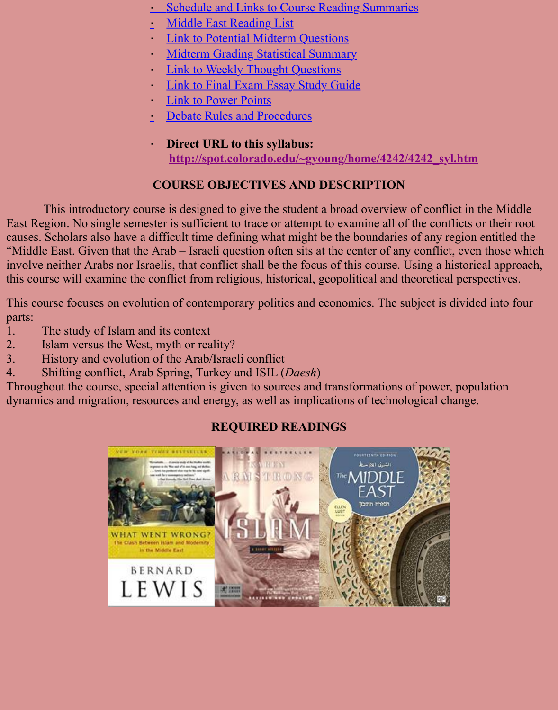- **[Link to Power Points](http://spot.colorado.edu/~gyoung/home/4242/4242RSsked.htm)**
- [Debate Rules and Procedu](http://spot.colorado.edu/~gyoung/home/4242/4242%20reading%20list.htm)res
- · **[Direct URL to this syllabus:](http://spot.colorado.edu/~gyoung/home/4242/4242midscore.htm) [http://spot.colorado.edu/~gyoung](http://spot.colorado.edu/~gyoung/home/4242/4242thtques.htm)/home/4242/4242\_syl.htm**

## **C[OURSE OBJECTIVES AND DESCR](http://spot.colorado.edu/~gyoung/home/4242/4242finterms.htm)IPTION**

This introductory course [is designed to give the studen](http://spot.colorado.edu/~gyoung/home/4242/4242debaterules.htm)t a broad overview of conflict in East Region. No single semester is sufficient to trace or attempt to examine all of the conflicts causes. Scholars also have a difficult time defining what might be the boundaries of any region "Middle East. Given that the Arab – Israeli question often sits at the center of any conflict, eve involve neither Arabs nor Israelis, that conflict shall be the focus of this course. Using a histor this course will examine the conflict from religious, historical, geopolitical and theoretical pers

This course focuses on evolution of contemporary politics and economics. The subject is dividently parts:

- 1. The study of Islam and its context
- 2. Islam versus the West, myth or reality?
- 3. History and evolution of the Arab/Israeli conflict
- 4. Shifting conflict, Arab Spring, Turkey and ISIL (*Daesh*)

Throughout the course, special attention is given to sources and transformations of power, pop dynamics and migration, resources and energy, as well as implications of technological change.

## **REQUIRED READINGS**

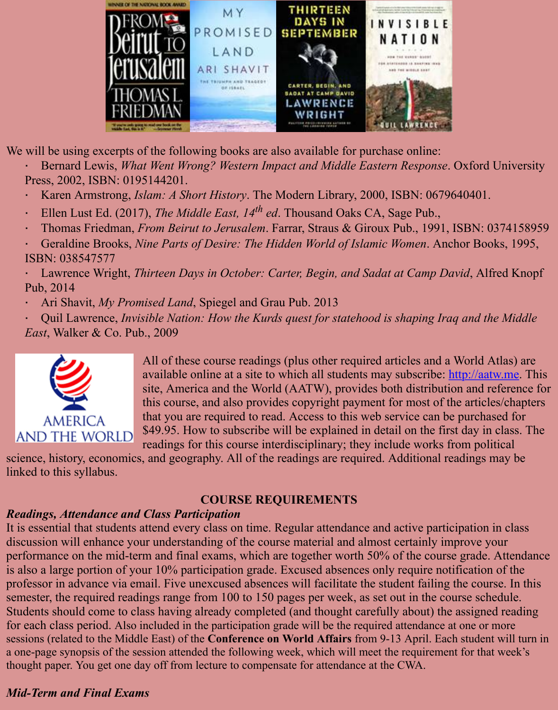

We will be using excerpts of the following books are also available for purchase online:

Bernard Lewis, *What Went Wrong? Western Impact and Middle Eastern Response*. Oxfor-Press, 2002, ISBN: 0195144201.

Karen Armstrong, *Islam: A Short History*. The Modern Library, 2000, ISBN: 06796404

- · Ellen Lust Ed. (2017), *The Middle East, 14th ed*. Thousand Oaks CA, Sage Pub.,
- Thomas Friedman, *From Beirut to Jerusalem*. Farrar, Straus & Giroux Pub., 1991, ISBI

Geraldine Brooks, *Nine Parts of Desire: The Hidden World of Islamic Women*. Anchor ISBN: 038547577

Lawrence Wright, *Thirteen Days in October: Carter, Begin, and Sadat at Camp David,* Pub, 2014

· Ari Shavit, *My Promised Land*, Spiegel and Grau Pub. 2013

Quil Lawrence, *Invisible Nation: How the Kurds quest for statehood is shaping Iraq and Musleed*  $\mu$ *East*, Walker & Co. Pub., 2009



All of these course readings (plus other required articles and a World Atlas) and A available online at a site to which all students may subscribe: http:/ site, America and the World (AATW), provides both distribution and this course, and also provides copyright payment for most of the articles that you are required to read. Access to this web service can be pure \$49.95. How to subscribe will be explained in detail on the first day readings for this course interdisciplinary; they include works from

science, history, economics, and geography. All of the readings are required. Additional reading linked to this syllabus.

#### **COURSE REQUIREMENTS**

## *Readings, Attendance and Class Participation*

It is essential that students attend every class on time. Regular attendance and active participat discussion will enhance your understanding of the course material and almost certainly improve performance on the mid-term and final exams, which are together worth 50% of the course grade. is also a large portion of your 10% participation grade. Excused absences only require notification of the the professor in advance via email. Five unexcused absences will facilitate the student failing the q semester, the required readings range from 100 to 150 pages per week, as set out in the course Students should come to class having already completed (and thought carefully about) the assi for each class period. Also included in the participation grade will be the required attendance at one sessions (related to the Middle East) of the **Conference on World Affairs** from 9-13 April. Each stu a one-page synopsis of the session attended the following week, which will meet the requirement for thought paper. You get one day off from lecture to compensate for attendance at the CWA.

## *Mid-Term and Final Exams*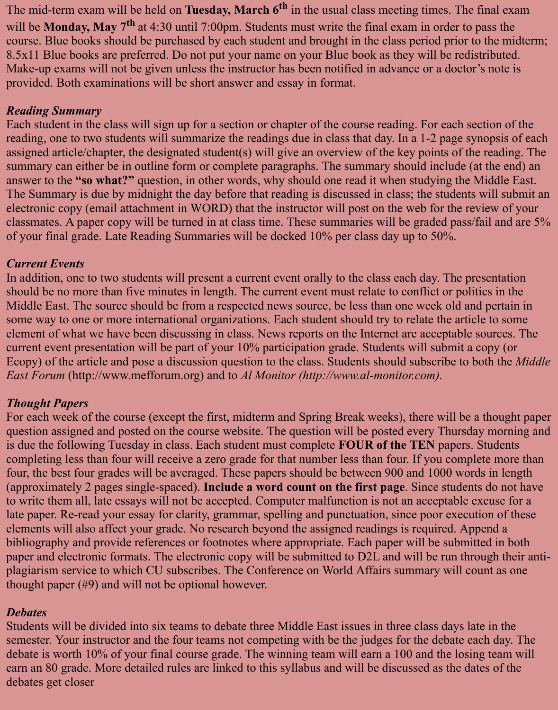The mid-term exam will be held on **Tuesday, March 6<sup>th</sup>** in the usual class meeting times. The final exam will be **Monday, May 7th** at 4:30 until 7:00pm. Students must write the final exam in order to pass the course. Blue books should be purchased by each student and brought in the class period prior to the midterm; 8.5x11 Blue books are preferred. Do not put your name on your Blue book as they will be redistributed. Make-up exams will not be given unless the instructor has been notified in advance or a doctor's note is provided. Both examinations will be short answer and essay in format.

#### *Reading Summary*

Each student in the class will sign up for a section or chapter of the course reading. For each section of the reading, one to two students will summarize the readings due in class that day. In a 1-2 page synopsis of each assigned article/chapter, the designated student(s) will give an overview of the key points of the reading. The summary can either be in outline form or complete paragraphs. The summary should include (at the end) an answer to the **"so what?"** question, in other words, why should one read it when studying the Middle East. The Summary is due by midnight the day before that reading is discussed in class; the students will submit an electronic copy (email attachment in WORD) that the instructor will post on the web for the review of your classmates. A paper copy will be turned in at class time. These summaries will be graded pass/fail and are 5% of your final grade. Late Reading Summaries will be docked 10% per class day up to 50%.

#### *Current Events*

In addition, one to two students will present a current event orally to the class each day. The presentation should be no more than five minutes in length. The current event must relate to conflict or politics in the Middle East. The source should be from a respected news source, be less than one week old and pertain in some way to one or more international organizations. Each student should try to relate the article to some element of what we have been discussing in class. News reports on the Internet are acceptable sources. The current event presentation will be part of your 10% participation grade. Students will submit a copy (or Ecopy) of the article and pose a discussion question to the class. Students should subscribe to both the *Middle East Forum* (http://www.mefforum.org) and to *Al Monitor (http://www.al-monitor.com).*

#### *Thought Papers*

For each week of the course (except the first, midterm and Spring Break weeks), there will be a thought paper question assigned and posted on the course website. The question will be posted every Thursday morning and is due the following Tuesday in class. Each student must complete **FOUR of the TEN** papers. Students completing less than four will receive a zero grade for that number less than four. If you complete more than four, the best four grades will be averaged. These papers should be between 900 and 1000 words in length (approximately 2 pages single-spaced). **Include a word count on the first page**. Since students do not have to write them all, late essays will not be accepted. Computer malfunction is not an acceptable excuse for a late paper. Re-read your essay for clarity, grammar, spelling and punctuation, since poor execution of these elements will also affect your grade. No research beyond the assigned readings is required. Append a bibliography and provide references or footnotes where appropriate. Each paper will be submitted in both paper and electronic formats. The electronic copy will be submitted to D2L and will be run through their antiplagiarism service to which CU subscribes. The Conference on World Affairs summary will count as one thought paper (#9) and will not be optional however.

#### *Debates*

Students will be divided into six teams to debate three Middle East issues in three class days late in the semester. Your instructor and the four teams not competing with be the judges for the debate each day. The debate is worth 10% of your final course grade. The winning team will earn a 100 and the losing team will earn an 80 grade. More detailed rules are linked to this syllabus and will be discussed as the dates of the debates get closer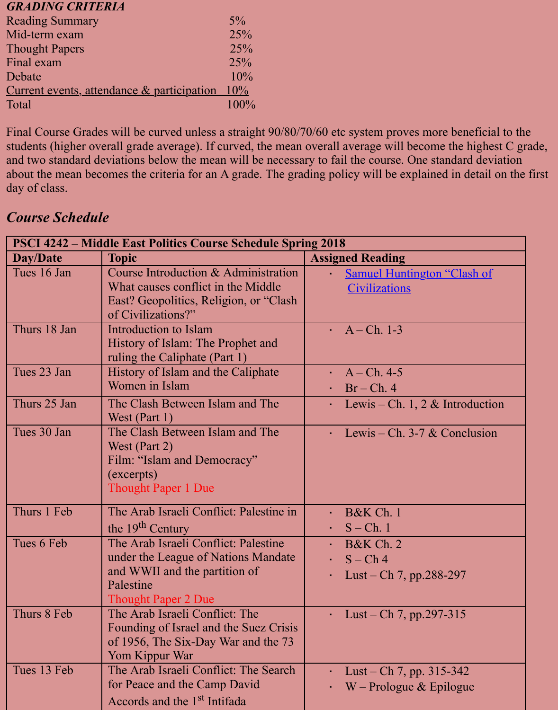Total 100% and 100%

Final Course Grades will be curved unless a straight 90/80/70/60 etc system proves more bene students (higher overall grade average). If curved, the mean overall average will become the h and two standard deviations below the mean will be necessary to fail the course. One standard deviation about the mean becomes the criteria for an A grade. The grading policy will be explained in de day of class.

## *Course Schedule*

| <b>PSCI 4242 – Middle East Politics Course Schedule Spring 2018</b> |                                                                                                                                                         |                                                               |  |  |
|---------------------------------------------------------------------|---------------------------------------------------------------------------------------------------------------------------------------------------------|---------------------------------------------------------------|--|--|
| <b>Day/Date</b>                                                     | <b>Topic</b>                                                                                                                                            | <b>Assigned Reading</b>                                       |  |  |
| Tues 16 Jan                                                         | Course Introduction & Administration<br>What causes conflict in the Middle<br>East? Geopolitics, Religion, or "Clash"<br>of Civilizations?"             | <b>Samuel Huntington "Clasl</b><br><b>Civilizations</b>       |  |  |
| Thurs 18 Jan                                                        | Introduction to Islam<br>History of Islam: The Prophet and<br>ruling the Caliphate (Part 1)                                                             | $A - Ch. 1-3$                                                 |  |  |
| Tues 23 Jan                                                         | History of Islam and the Caliphate<br>Women in Islam                                                                                                    | $A - Ch. 4-5$<br>$\cdot$ Br – Ch. 4                           |  |  |
| Thurs 25 Jan                                                        | The Clash Between Islam and The<br>West (Part 1)                                                                                                        | Lewis – Ch. 1, 2 $&$ Introd                                   |  |  |
| Tues 30 Jan                                                         | The Clash Between Islam and The<br>West (Part 2)<br>Film: "Islam and Democracy"<br>(excerpts)<br><b>Thought Paper 1 Due</b>                             | Lewis – Ch. 3-7 $&$ Conclu                                    |  |  |
| Thurs 1 Feb                                                         | The Arab Israeli Conflict: Palestine in<br>the 19 <sup>th</sup> Century                                                                                 | B&K Ch. 1<br>$S$ – Ch. 1                                      |  |  |
| Tues 6 Feb                                                          | The Arab Israeli Conflict: Palestine<br>under the League of Nations Mandate<br>and WWII and the partition of<br>Palestine<br><b>Thought Paper 2 Due</b> | <b>B&amp;K Ch. 2</b><br>$S - Ch$ 4<br>Lust – Ch 7, pp.288-297 |  |  |
| Thurs 8 Feb                                                         | The Arab Israeli Conflict: The<br>Founding of Israel and the Suez Crisis<br>of 1956, The Six-Day War and the 73<br>Yom Kippur War                       | Lust – Ch 7, pp.297-315                                       |  |  |
| Tues 13 Feb                                                         | The Arab Israeli Conflict: The Search<br>for Peace and the Camp David<br>Accords and the 1 <sup>st</sup> Intifada                                       | Lust – Ch 7, pp. $315-342$<br>$W$ – Prologue & Epilogue       |  |  |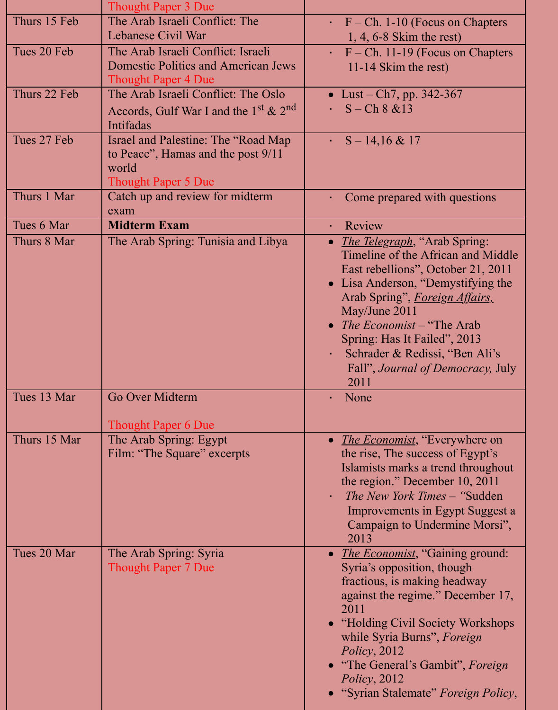|              | <b>Thought Paper 3 Due</b>                                                                                        |                                                                                                                                                                                                                                                                                                                                                                                          |
|--------------|-------------------------------------------------------------------------------------------------------------------|------------------------------------------------------------------------------------------------------------------------------------------------------------------------------------------------------------------------------------------------------------------------------------------------------------------------------------------------------------------------------------------|
| Thurs 15 Feb | The Arab Israeli Conflict: The<br>Lebanese Civil War                                                              | $\cdot$ F – Ch. 1-10 (Focus on Chapters<br>$1, 4, 6-8$ Skim the rest)                                                                                                                                                                                                                                                                                                                    |
| Tues 20 Feb  | The Arab Israeli Conflict: Israeli<br><b>Domestic Politics and American Jews</b><br><b>Thought Paper 4 Due</b>    | $F - Ch.$ 11-19 (Focus on Chapters<br>11-14 Skim the rest)                                                                                                                                                                                                                                                                                                                               |
| Thurs 22 Feb | The Arab Israeli Conflict: The Oslo<br>Accords, Gulf War I and the $1st \& 2nd$<br>Intifadas                      | • Lust – Ch7, pp. $342-367$<br>$S - Ch 8 & 13$                                                                                                                                                                                                                                                                                                                                           |
| Tues 27 Feb  | Israel and Palestine: The "Road Map"<br>to Peace", Hamas and the post 9/11<br>world<br><b>Thought Paper 5 Due</b> | $S - 14,16 \& 17$<br>$\mathbf{r}$ .                                                                                                                                                                                                                                                                                                                                                      |
| Thurs 1 Mar  | Catch up and review for midterm<br>exam                                                                           | Come prepared with questions                                                                                                                                                                                                                                                                                                                                                             |
| Tues 6 Mar   | <b>Midterm Exam</b>                                                                                               | Review<br>$\bullet$                                                                                                                                                                                                                                                                                                                                                                      |
| Thurs 8 Mar  | The Arab Spring: Tunisia and Libya                                                                                | <i>The Telegraph</i> , "Arab Spring:<br>$\bullet$<br>Timeline of the African and Middle<br>East rebellions", October 21, 2011<br>• Lisa Anderson, "Demystifying the<br>Arab Spring", <i>Foreign Affairs</i> ,<br>May/June 2011<br>The Economist – "The Arab"<br>$\bullet$<br>Spring: Has It Failed", 2013<br>Schrader & Redissi, "Ben Ali's<br>Fall", Journal of Democracy, July<br>2011 |
| Tues 13 Mar  | Go Over Midterm<br><b>Thought Paper 6 Due</b>                                                                     | None                                                                                                                                                                                                                                                                                                                                                                                     |
| Thurs 15 Mar | The Arab Spring: Egypt<br>Film: "The Square" excerpts                                                             | <i>The Economist</i> , "Everywhere on<br>$\bullet$<br>the rise, The success of Egypt's<br>Islamists marks a trend throughout<br>the region." December 10, 2011<br><i>The New York Times</i> – "Sudden"<br>Improvements in Egypt Suggest a<br>Campaign to Undermine Morsi",<br>2013                                                                                                       |
| Tues 20 Mar  | The Arab Spring: Syria<br><b>Thought Paper 7 Due</b>                                                              | <i>The Economist</i> , "Gaining ground:<br>$\bullet$<br>Syria's opposition, though<br>fractious, is making headway<br>against the regime." December 17,<br>2011<br>"Holding Civil Society Workshops"<br>while Syria Burns", Foreign<br>Policy, 2012<br>"The General's Gambit", Foreign<br>Policy, 2012<br>• "Syrian Stalemate" Foreign Policy,                                           |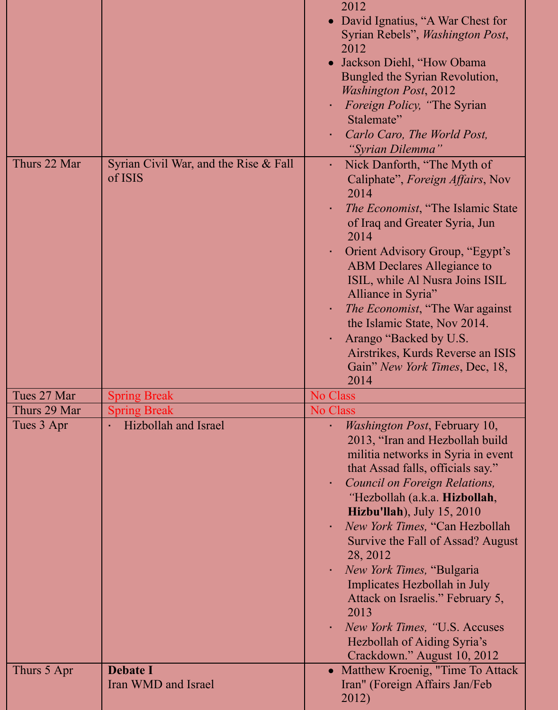|              |                                                  | 2012<br>David Ignatius, "A War Chest for<br>Syrian Rebels", <i>Washington Post</i> ,<br>2012<br>Jackson Diehl, "How Obama<br>Bungled the Syrian Revolution,<br><b>Washington Post, 2012</b><br><i>Foreign Policy, "The Syrian</i><br>×<br>Stalemate"<br>Carlo Caro, The World Post,<br>٠<br>"Syrian Dilemma"                                                                                                                                                                                                                                                                                                                                   |
|--------------|--------------------------------------------------|------------------------------------------------------------------------------------------------------------------------------------------------------------------------------------------------------------------------------------------------------------------------------------------------------------------------------------------------------------------------------------------------------------------------------------------------------------------------------------------------------------------------------------------------------------------------------------------------------------------------------------------------|
| Thurs 22 Mar | Syrian Civil War, and the Rise & Fall<br>of ISIS | Nick Danforth, "The Myth of<br>$\blacksquare$<br>Caliphate", Foreign Affairs, Nov<br>2014<br><i>The Economist</i> , "The Islamic State"<br>×,<br>of Iraq and Greater Syria, Jun<br>2014<br><b>Orient Advisory Group, "Egypt's</b><br>×<br><b>ABM</b> Declares Allegiance to<br>ISIL, while Al Nusra Joins ISIL<br>Alliance in Syria"<br><i>The Economist</i> , "The War against"<br>×<br>the Islamic State, Nov 2014.<br>Arango "Backed by U.S.<br>٠<br>Airstrikes, Kurds Reverse an ISIS<br>Gain" New York Times, Dec, 18,<br>2014                                                                                                            |
| Tues 27 Mar  | <b>Spring Break</b>                              | <b>No Class</b>                                                                                                                                                                                                                                                                                                                                                                                                                                                                                                                                                                                                                                |
| Thurs 29 Mar | <b>Spring Break</b>                              | <b>No Class</b>                                                                                                                                                                                                                                                                                                                                                                                                                                                                                                                                                                                                                                |
| Tues 3 Apr   | Hizbollah and Israel                             | <i>Washington Post</i> , February 10,<br>$\blacksquare$<br>2013, "Iran and Hezbollah build<br>militia networks in Syria in event<br>that Assad falls, officials say."<br>Council on Foreign Relations,<br>$\blacksquare$<br>"Hezbollah (a.k.a. Hizbollah,<br><b>Hizbu'llah</b> ), July $15, 2010$<br>New York Times, "Can Hezbollah<br>×,<br>Survive the Fall of Assad? August<br>28, 2012<br>New York Times, "Bulgaria"<br>$\blacksquare$<br>Implicates Hezbollah in July<br>Attack on Israelis." February 5,<br>2013<br><i>New York Times, "U.S. Accuses</i><br>$\blacksquare$<br>Hezbollah of Aiding Syria's<br>Crackdown." August 10, 2012 |
| Thurs 5 Apr  | <b>Debate I</b><br>Iran WMD and Israel           | Matthew Kroenig, "Time To Attack<br>$\bullet$<br>Iran" (Foreign Affairs Jan/Feb<br>2012)                                                                                                                                                                                                                                                                                                                                                                                                                                                                                                                                                       |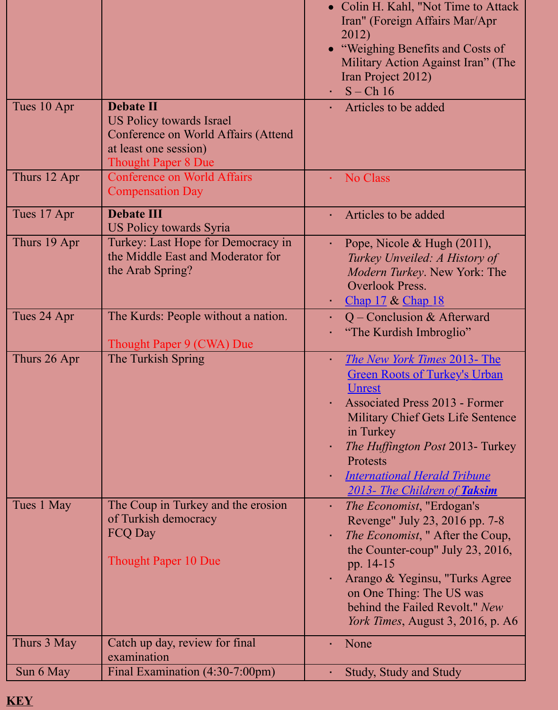| Tues 10 Apr  | <b>Debate II</b><br><b>US Policy towards Israel</b><br>Conference on World Affairs (Attend<br>at least one session)<br><b>Thought Paper 8 Due</b> | Articles to be added                                                                                                                                                                                                                                                                                                   |
|--------------|---------------------------------------------------------------------------------------------------------------------------------------------------|------------------------------------------------------------------------------------------------------------------------------------------------------------------------------------------------------------------------------------------------------------------------------------------------------------------------|
| Thurs 12 Apr | <b>Conference on World Affairs</b><br><b>Compensation Day</b>                                                                                     | No Class                                                                                                                                                                                                                                                                                                               |
| Tues 17 Apr  | <b>Debate III</b><br><b>US Policy towards Syria</b>                                                                                               | Articles to be added                                                                                                                                                                                                                                                                                                   |
| Thurs 19 Apr | Turkey: Last Hope for Democracy in<br>the Middle East and Moderator for<br>the Arab Spring?                                                       | Pope, Nicole & Hugh $(20)$<br>×,<br>Turkey Unveiled: A Histo<br>Modern Turkey. New Yor<br><b>Overlook Press.</b><br>Chap $17 &$ Chap $18$<br>٠                                                                                                                                                                         |
| Tues 24 Apr  | The Kurds: People without a nation.<br>Thought Paper 9 (CWA) Due                                                                                  | $Q$ – Conclusion & Afterw<br>"The Kurdish Imbroglio"<br>a,                                                                                                                                                                                                                                                             |
| Thurs 26 Apr | The Turkish Spring                                                                                                                                | <b>The New York Times 2013</b><br>$\blacksquare$<br><b>Green Roots of Turkey's 1</b><br><u>Unrest</u><br><b>Associated Press 2013 - F</b><br>à.<br>Military Chief Gets Life S<br>in Turkey<br>The Huffington Post 2013<br>Protests<br><b>International Herald Tribi</b><br>$\blacksquare$<br>2013- The Children of Ta. |
| Tues 1 May   | The Coup in Turkey and the erosion<br>of Turkish democracy<br><b>FCQ Day</b><br><b>Thought Paper 10 Due</b>                                       | <i>The Economist</i> , "Erdogan"<br>$\blacksquare$<br>Revenge" July 23, 2016 p<br><i>The Economist</i> , "After the<br>the Counter-coup" July 21<br>pp. 14-15<br>Arango & Yeginsu, "Turk<br>$\bullet$<br>on One Thing: The US was<br>behind the Failed Revolt.<br><i>York Times, August 3, 201</i>                     |
| Thurs 3 May  | Catch up day, review for final<br>examination                                                                                                     | None<br>ä,                                                                                                                                                                                                                                                                                                             |
| Sun 6 May    | Final Examination (4:30-7:00pm)                                                                                                                   | Study, Study and Study<br>×,                                                                                                                                                                                                                                                                                           |

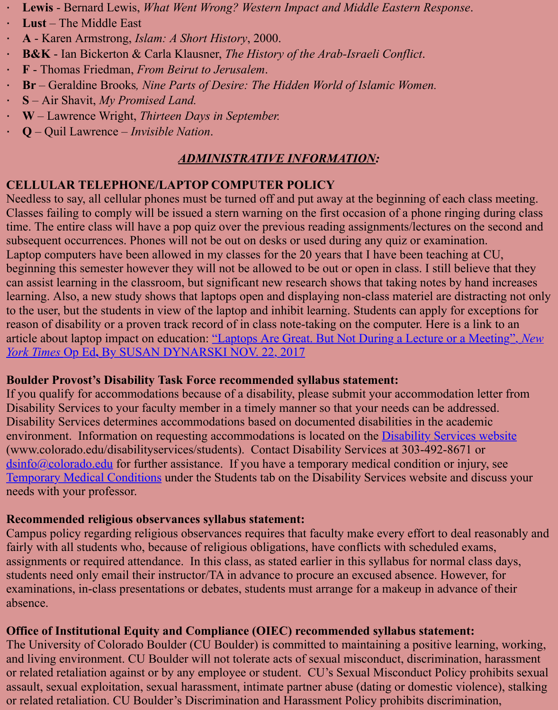- · **S**  Air Shavit, *My Promised Land.*
- · **W**  Lawrence Wright, *Thirteen Days in September.*
- · **Q**  Quil Lawrence *Invisible Nation*.

#### *ADMINISTRATIVE INFORMATION:*

#### **CELLULAR TELEPHONE/LAPTOP COMPUTER POLICY**

Needless to say, all cellular phones must be turned off and put away at the beginning of each c Classes failing to comply will be issued a stern warning on the first occasion of a phone ringing time. The entire class will have a pop quiz over the previous reading assignments/lectures on the second and subsequent occurrences. Phones will not be out on desks or used during any quiz or examination. Laptop computers have been allowed in my classes for the 20 years that I have been teaching a beginning this semester however they will not be allowed to be out or open in class. I still belief can assist learning in the classroom, but significant new research shows that taking notes by ha learning. Also, a new study shows that laptops open and displaying non-class materiel are distraction to the user, but the students in view of the laptop and inhibit learning. Students can apply for example reason of disability or a proven track record of in class note-taking on the computer. Here is a article about laptop impact on education: <u>"Laptops Are Great. But Not During a Lecture or a New</u> *York Times* Op Ed**,** By SUSAN DYNARSKI NOV. 22, 2017

#### **Boulder Provost's Disability Task Force recommended syllabus statement:**

If you qualify for accommodations because of a disability, please submit your accommodation Disability Services to your faculty member in a timely manner so that your needs can be addre Disability Services determines accommodations based on documented disabilities in the acade environment. Information on requesting accommodations is located on the **Disability Services** (www.colorado.edu/disabilityservices/students). Contact Disability Services at 303-492-8671  $\frac{\text{d} \sin 6(a) \cos \theta}{\text{d} \sin 2(b)}$  for further assistance. If you have a temporary medical condition or injury Temporary Medical Conditions under the Students tab on the Disability Services website and discussed needs with your professor.

#### **Recommended religious observances syllabus statement:**

Campus policy regarding religious observances requires that faculty make every effort to deal fairly with all students who, because of religious obligations, have conflicts with scheduled ex [assignments or require](mailto:dsinfo@colorado.edu)d attendance. In this class, as stated earlier in this syllabus for normal c [students need only email their in](http://www.colorado.edu/disabilityservices/students/temporary-medical-conditions)structor/TA in advance to procure an excused absence. However, examinations, in-class presentations or debates, students must arrange for a makeup in advance absence.

#### **Office of Institutional Equity and Compliance (OIEC) recommended syllabus statement:**

The University of Colorado Boulder (CU Boulder) is committed to maintaining a positive lear and living environment. CU Boulder will not tolerate acts of sexual misconduct, discrimination or related retaliation against or by any employee or student. CU's Sexual Misconduct Policy problem. assault, sexual exploitation, sexual harassment, intimate partner abuse (dating or domestic viol or related retaliation. CU Boulder's Discrimination and Harassment Policy prohibits discrimin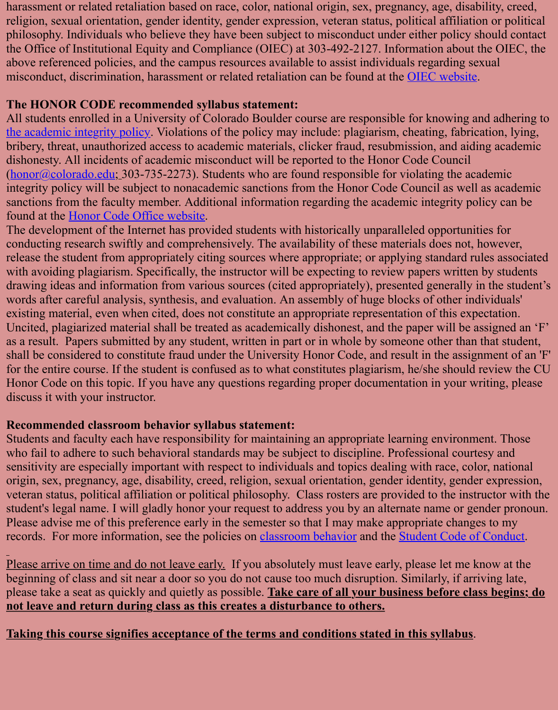#### **The HONOR CODE recommended syllabus statement:**

All students enrolled in a University of Colorado Boulder course are responsible for knowing a the academic integrity policy. Violations of the policy may include: plagiarism, cheating, fabrication, relation, lying, lying, lying, lying, lying, lying, lying, lying, lying, lying, lying, lying, lying, lying, lying, lyi bribery, threat, unauthorized access to academic materials, clicker fraud, resubmission, and aid dishonesty. All incidents of academic misconduct will be reported to the Honor Code Council  $(honor@colorado.edu; 303-735-2273)$ . Students who are found responsible for violating the ac integrity policy will be subject to nonacademic sanctions from the Honor Code Council as well sanctions from the faculty member. Additional information regarding the academic integrity policy found at the Honor Code Office website.

[The development of the Inter](http://www.colorado.edu/policies/academic-integrity-policy)net has provided students with historically unparalleled opportunity conducting research swiftly and comprehensively. The availability of these materials does not, release the student from appropriately citing sources where appropriate; or applying standard relationships as [with avoiding plagiari](mailto:honor@colorado.edu)sm. Specifically, the instructor will be expecting to review papers written drawing ideas and information from various sources (cited appropriately), presented generally words after careful analysis, synthesis, and evaluation. An assembly of huge blocks of other in existing mat[erial, even when cited, does](http://www.colorado.edu/honorcode/) not constitute an appropriate representation of this expectation. Uncited, plagiarized material shall be treated as academically dishonest, and the paper will be as a result. Papers submitted by any student, written in part or in whole by someone other than shall be considered to constitute fraud under the University Honor Code, and result in the assignment of an example of an 'F' and 'F' and 'F' and 'F' and 'F' and 'F' and 'F' and 'F' and 'F' and 'F' and 'F' and 'F' and 'F' for the entire course. If the student is confused as to what constitutes plagiarism, he/she should Honor Code on this topic. If you have any questions regarding proper documentation in your w discuss it with your instructor.

#### **Recommended classroom behavior syllabus statement:**

Students and faculty each have responsibility for maintaining an appropriate learning environment. who fail to adhere to such behavioral standards may be subject to discipline. Professional court sensitivity are especially important with respect to individuals and topics dealing with race, co origin, sex, pregnancy, age, disability, creed, religion, sexual orientation, gender identity, gend veteran status, political affiliation or political philosophy. Class rosters are provided to the ins student's legal name. I will gladly honor your request to address you by an alternate name or g Please advise me of this preference early in the semester so that I may make appropriate change records. For more information, see the policies on classroom behavior and the Student Code of

Please arrive on time and do not leave early. If you absolutely must leave early, please let me beginning of class and sit near a door so you do not cause too much disruption. Similarly, if are please take a seat as quickly and quietly as possible. Take care of all your business before class **not leave and return during class as this creates a disturbance to others.**

**Taking this course signifies acceptance of the te[rms and conditions](http://www.colorado.edu/policies/student-classroom-and-course-related-behavior) stated i[n this syllabus](http://www.colorado.edu/osccr/)**.